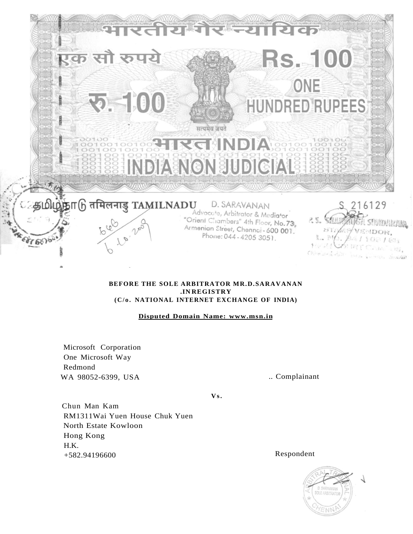

# **BEFORE THE SOLE ARBITRATOR MR.D.SARAVANAN .IN REGISTRY (C/o . NATIONAL INTERNET EXCHANGE OF INDIA)**

**Disputed Domain Name: [www.msn.in](http://www.msn.in)** 

Microsoft Corporation One Microsoft Way Redmond WA 98052-6399, USA ... Complainant

**V s.** 

Chun Man Kam RM1311Wai Yuen House Chuk Yuen North Estate Kowloon Hong Kong H.K. +582.94196600 Respondent

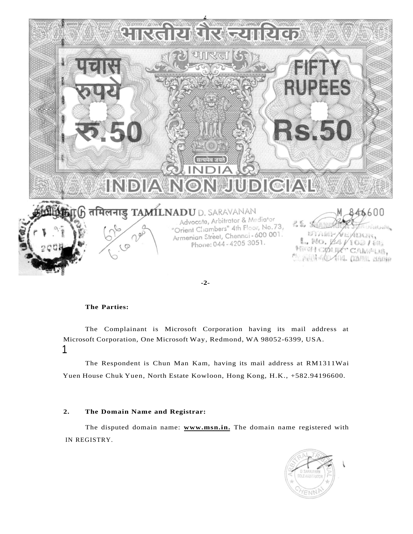

### **The Parties:**

The Complainant is Microsoft Corporation having its mail address at Microsoft Corporation, One Microsoft Way, Redmond, WA 98052-6399, USA. 1

The Respondent is Chun Man Kam, having its mail address at RM1311Wai Yuen House Chuk Yuen, North Estate Kowloon, Hong Kong, H.K., +582.94196600.

## **2. The Domain Name and Registrar:**

The disputed domain name: **[www.msn.in.](http://www.msn.in)** The domain name registered with IN REGISTRY.

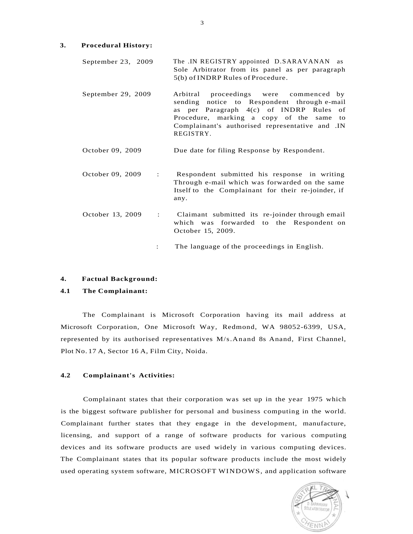## **3. Procedural History:**

| September 23, $2009$ |                                   |                                                 | The .IN REGISTRY appointed D.SARAVANAN as |  |  |  |  |  |  |
|----------------------|-----------------------------------|-------------------------------------------------|-------------------------------------------|--|--|--|--|--|--|
|                      |                                   | Sole Arbitrator from its panel as per paragraph |                                           |  |  |  |  |  |  |
|                      | 5(b) of INDRP Rules of Procedure. |                                                 |                                           |  |  |  |  |  |  |

- September 29, 2009 Arbitral proceedings were commenced by sending notice to Respondent through e-mail as per Paragraph 4(c) of INDRP Rules of Procedure, marking a copy of the same to Complainant's authorised representative and .IN REGISTRY.
- October 09, 2009 Due date for filing Response by Respondent.
- October 09, 2009 : Respondent submitted his response in writing Through e-mail which was forwarded on the same Itself to the Complainant for their re-joinder, if any. October 13, 2009 : Claimant submitted its re-joinder through email which was forwarded to the Respondent on

October 15, 2009.

: The language of the proceedings in English.

## **4. Factual Background:**

## **4.1 The Complainant:**

The Complainant is Microsoft Corporation having its mail address at Microsoft Corporation, One Microsoft Way, Redmond, WA 98052-6399, USA, represented by its authorised representatives M/s.Anand 8s Anand, First Channel, Plot No. 17 A, Sector 16 A, Film City, Noida.

#### **4.2 Complainant's Activities:**

Complainant states that their corporation was set up in the year 1975 which is the biggest software publisher for personal and business computing in the world. Complainant further states that they engage in the development, manufacture, licensing, and support of a range of software products for various computing devices and its software products are used widely in various computing devices. The Complainant states that its popular software products include the most widely used operating system software, MICROSOFT WINDOWS, and application software

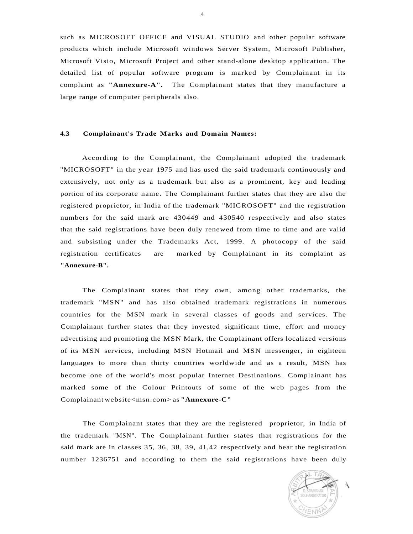such as MICROSOFT OFFICE and VISUAL STUDIO and other popular software products which include Microsoft windows Server System, Microsoft Publisher, Microsoft Visio, Microsoft Project and other stand-alone desktop application. The detailed list of popular software program is marked by Complainant in its complaint as **"Annexure-A".** The Complainant states that they manufacture a large range of computer peripherals also.

## **4.3 Complainant's Trade Marks and Domain Names:**

According to the Complainant, the Complainant adopted the trademark "MICROSOFT" in the year 1975 and has used the said trademark continuously and extensively, not only as a trademark but also as a prominent, key and leading portion of its corporate name. The Complainant further states that they are also the registered proprietor, in India of the trademark "MICROSOFT" and the registration numbers for the said mark are 430449 and 430540 respectively and also states that the said registrations have been duly renewed from time to time and are valid and subsisting under the Trademarks Act, 1999. A photocopy of the said registration certificates are marked by Complainant in its complaint as **"Annexure-B".** 

The Complainant states that they own, among other trademarks, the trademark "MSN" and has also obtained trademark registrations in numerous countries for the MSN mark in several classes of goods and services. The Complainant further states that they invested significant time, effort and money advertising and promoting the MSN Mark, the Complainant offers localized versions of its MSN services, including MSN Hotmail and MSN messenger, in eighteen languages to more than thirty countries worldwide and as a result, MSN has become one of the world's most popular Internet Destinations. Complainant has marked some of the Colour Printouts of some of the web pages from the Complainant website<msn.com> as **"Annexure-C"** 

The Complainant states that they are the registered proprietor, in India of the trademark "MSN". The Complainant further states that registrations for the said mark are in classes 35, 36, 38, 39, 41,42 respectively and bear the registration number 1236751 and according to them the said registrations have been duly



4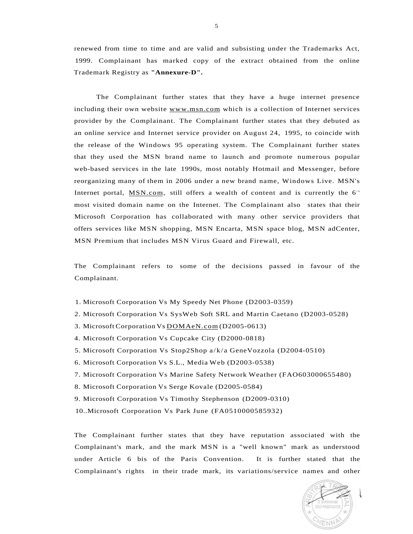renewed from time to time and are valid and subsisting under the Trademarks Act, 1999. Complainant has marked copy of the extract obtained from the online Trademark Registry as **"Annexure-D".** 

The Complainant further states that they have a huge internet presence including their own website [www.msn.com w](http://www.msn.com)hich is a collection of Internet services provider by the Complainant. The Complainant further states that they debuted as an online service and Internet service provider on August 24, 1995, to coincide with the release of the Windows 95 operating system. The Complainant further states that they used the MSN brand name to launch and promote numerous popular web-based services in the late 1990s, most notably Hotmail and Messenger, before reorganizing many of them in 2006 under a new brand name, Windows Live. MSN's Internet portal,  $MSN.com$ , still offers a wealth of content and is currently the  $6<sup>th</sup>$ most visited domain name on the Internet. The Complainant also states that their Microsoft Corporation has collaborated with many other service providers that offers services like MSN shopping, MSN Encarta, MSN space blog, MSN adCenter, MSN Premium that includes MSN Virus Guard and Firewall, etc.

The Complainant refers to some of the decisions passed in favour of the Complainant.

- 1. Microsoft Corporation Vs My Speedy Net Phone (D2003-0359)
- 2. Microsoft Corporation Vs SysWeb Soft SRL and Martin Caetano (D2003-0528)
- 3. Microsoft Corporation Vs [DOMAeN.com](http://DOMAeN.com) (D2005-0613)
- 4. Microsoft Corporation Vs Cupcake City (D2000-0818)
- 5. Microsoft Corporation Vs Stop2Shop a/k/ a GeneVozzola (D2004-0510)
- 6. Microsoft Corporation Vs S.L., Media Web (D2003-0538)
- 7. Microsoft Corporation Vs Marine Safety Network Weather (FAO603000655480)
- 8. Microsoft Corporation Vs Serge Kovale (D2005-0584)
- 9. Microsoft Corporation Vs Timothy Stephenson (D2009-0310)
- 10..Microsoft Corporation Vs Park June (FA0510000585932)

The Complainant further states that they have reputation associated with the Complainant's mark, and the mark MSN is a "well known" mark as understood under Article 6 bis of the Paris Convention. It is further stated that the Complainant's rights in their trade mark, its variations/service names and other

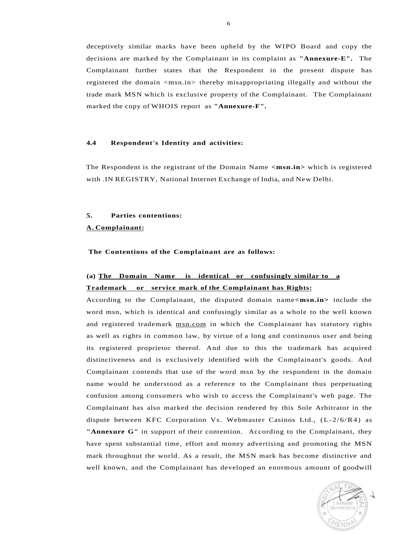deceptively similar marks have been upheld by the WIPO Board and copy the decisions are marked by the Complainant in its complaint as **"Annexure-E".** The Complainant further states that the Respondent in the present dispute has registered the domain <msn.in> thereby misappropriating illegally and without the trade mark MSN which is exclusive property of the Complainant. The Complainant marked the copy of WHOIS report as **"Annexure-F".** 

### **4.4 Respondent's Identity and activities:**

The Respondent is the registrant of the Domain Name **<msn.in>** which is registered with .IN REGISTRY, National Internet Exchange of India, and New Delhi.

## **5. Parties contentions:**

### **A. Complainant:**

**The Contentions of the Complainant are as follows:** 

# **(a) The Domain Name is identical or confusingly similar to a Trademark or service mark of the Complainant has Rights:**

According to the Complainant, the disputed domain name**<msn.in>** include the word msn, which is identical and confusingly similar as a whole to the well known and registered trademark [msn.com i](http://msn.com)n which the Complainant has statutory rights as well as rights in common law, by virtue of a long and continuous user and being its registered proprietor thereof. And due to this the trademark has acquired distinctiveness and is exclusively identified with the Complainant's goods. And Complainant contends that use of the word msn by the respondent in the domain name would be understood as a reference to the Complainant thus perpetuating confusion among consumers who wish to access the Complainant's web page. The Complainant has also marked the decision rendered by this Sole Arbitrator in the dispute between KFC Corporation Vs. Webmaster Casinos Ltd.,  $(L-2/6/R4)$  as **"Annexure G"** in support of their contention. According to the Complainant, they have spent substantial time, effort and money advertising and promoting the MSN mark throughout the world. As a result, the MSN mark has become distinctive and well known, and the Complainant has developed an enormous amount of goodwill

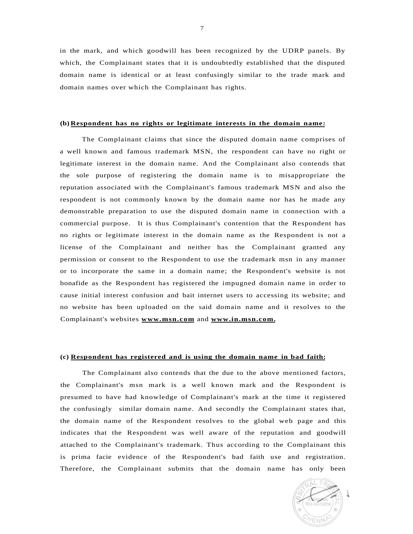in the mark, and which goodwill has been recognized by the UDRP panels. By which, the Complainant states that it is undoubtedly established that the disputed domain name is identical or at least confusingly similar to the trade mark and domain names over which the Complainant has rights.

## **(b) Respondent has no rights or legitimate interests in the domain name:**

The Complainant claims that since the disputed domain name comprises of a well known and famous trademark MSN, the respondent can have no right or legitimate interest in the domain name. And the Complainant also contends that the sole purpose of registering the domain name is to misappropriate the reputation associated with the Complainant's famous trademark MSN and also the respondent is not commonly known by the domain name nor has he made any demonstrable preparation to use the disputed domain name in connection with a commercial purpose. It is thus Complainant's contention that the Respondent has no rights or legitimate interest in the domain name as the Respondent is not a license of the Complainant and neither has the Complainant granted any permission or consent to the Respondent to use the trademark msn in any manner or to incorporate the same in a domain name; the Respondent's website is not bonafide as the Respondent has registered the impugned domain name in order to cause initial interest confusion and bait internet users to accessing its website; and no website has been uploaded on the said domain name and it resolves to the Complainant's websites **[www.msn.com](http://www.msn.com)** and **[www.in.msn.com.](http://www.in.msn.com)** 

# **(c) Respondent has registered and is using the domain name in bad faith:**

The Complainant also contends that the due to the above mentioned factors, the Complainant's msn mark is a well known mark and the Respondent is presumed to have had knowledge of Complainant's mark at the time it registered the confusingly similar domain name. And secondly the Complainant states that, the domain name of the Respondent resolves to the global web page and this indicates that the Respondent was well aware of the reputation and goodwill attached to the Complainant's trademark. Thus according to the Complainant this is prima facie evidence of the Respondent's bad faith use and registration. Therefore, the Complainant submits that the domain name has only been

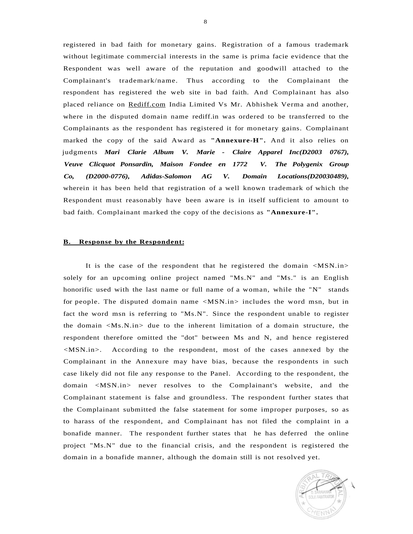registered in bad faith for monetary gains. Registration of a famous trademark without legitimate commercial interests in the same is prima facie evidence that the Respondent was well aware of the reputation and goodwill attached to the Complainant's trademark/name. Thus according to the Complainant the respondent has registered the web site in bad faith. And Complainant has also placed reliance on [Rediff.com I](http://Rediff.com)ndia Limited Vs Mr. Abhishek Verma and another, where in the disputed domain name rediff.in was ordered to be transferred to the Complainants as the respondent has registered it for monetary gains. Complainant marked the copy of the said Award as **"Annexure-H".** And it also relies on judgments *Mari Clarie Album V. Marie - Claire Apparel Inc(D2003 0767), Veuve Clicquot Ponsardin, Maison Fondee en 1772 V. The Polygenix Group Co, (D2000-0776), Adidas-Salomon AG V. Domain Locations(D20030489),*  wherein it has been held that registration of a well known trademark of which the Respondent must reasonably have been aware is in itself sufficient to amount to bad faith. Complainant marked the copy of the decisions as **"Annexure-I".** 

### **B. Response by the Respondent:**

It is the case of the respondent that he registered the domain <MSN.in> solely for an upcoming online project named "Ms.N" and "Ms." is an English honorific used with the last name or full name of a woman, while the "N" stands for people. The disputed domain name <MSN.in> includes the word msn, but in fact the word msn is referring to "Ms.N". Since the respondent unable to register the domain  $\langle Ms.N.in \rangle$  due to the inherent limitation of a domain structure, the respondent therefore omitted the "dot" between Ms and N, and hence registered <MSN.in>. According to the respondent, most of the cases annexed by the Complainant in the Annexure may have bias, because the respondents in such case likely did not file any response to the Panel. According to the respondent, the domain <MSN.in> never resolves to the Complainant's website, and the Complainant statement is false and groundless. The respondent further states that the Complainant submitted the false statement for some improper purposes, so as to harass of the respondent, and Complainant has not filed the complaint in a bonafide manner. The respondent further states that he has deferred the online project "Ms.N" due to the financial crisis, and the respondent is registered the domain in a bonafide manner, although the domain still is not resolved yet.

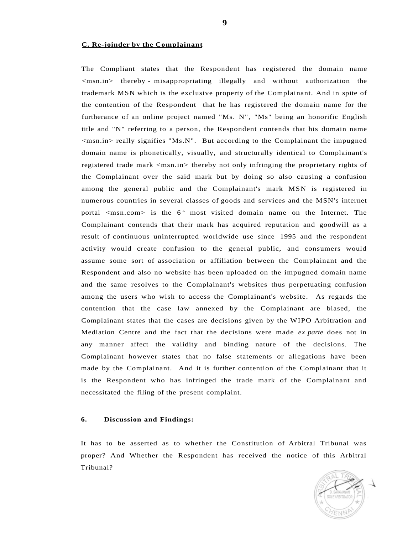### **C. Re-joinder by the Complainant**

The Compliant states that the Respondent has registered the domain name <msn.in> thereby - misappropriating illegally and without authorization the trademark MSN which is the exclusive property of the Complainant. And in spite of the contention of the Respondent that he has registered the domain name for the furtherance of an online project named "Ms. N", "Ms" being an honorific English title and "N" referring to a person, the Respondent contends that his domain name  $\langle$ msn.in> really signifies "Ms.N". But according to the Complainant the impugned domain name is phonetically, visually, and structurally identical to Complainant's registered trade mark <msn.in> thereby not only infringing the proprietary rights of the Complainant over the said mark but by doing so also causing a confusion among the general public and the Complainant's mark MSN is registered in numerous countries in several classes of goods and services and the MSN's internet portal <msn.com> is the 6<sup>th</sup> most visited domain name on the Internet. The Complainant contends that their mark has acquired reputation and goodwill as a result of continuous uninterrupted worldwide use since 1995 and the respondent activity would create confusion to the general public, and consumers would assume some sort of association or affiliation between the Complainant and the Respondent and also no website has been uploaded on the impugned domain name and the same resolves to the Complainant's websites thus perpetuating confusion among the users who wish to access the Complainant's website. As regards the contention that the case law annexed by the Complainant are biased, the Complainant states that the cases are decisions given by the WIPO Arbitration and Mediation Centre and the fact that the decisions were made *ex parte* does not in any manner affect the validity and binding nature of the decisions. The Complainant however states that no false statements or allegations have been made by the Complainant. And it is further contention of the Complainant that it is the Respondent who has infringed the trade mark of the Complainant and necessitated the filing of the present complaint.

## **6. Discussion and Findings:**

It has to be asserted as to whether the Constitution of Arbitral Tribunal was proper? And Whether the Respondent has received the notice of this Arbitral Tribunal?

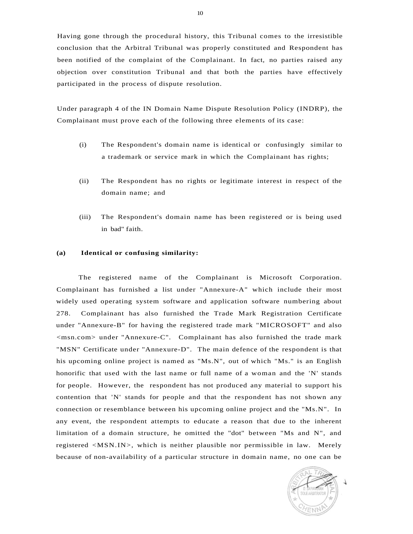Having gone through the procedural history, this Tribunal comes to the irresistible conclusion that the Arbitral Tribunal was properly constituted and Respondent has been notified of the complaint of the Complainant. In fact, no parties raised any objection over constitution Tribunal and that both the parties have effectively participated in the process of dispute resolution.

Under paragraph 4 of the IN Domain Name Dispute Resolution Policy (INDRP), the Complainant must prove each of the following three elements of its case:

- (i) The Respondent's domain name is identical or confusingly similar to a trademark or service mark in which the Complainant has rights;
- (ii) The Respondent has no rights or legitimate interest in respect of the domain name; and
- (iii) The Respondent's domain name has been registered or is being used in bad" faith.

### **(a) Identical or confusing similarity:**

The registered name of the Complainant is Microsoft Corporation. Complainant has furnished a list under "Annexure-A" which include their most widely used operating system software and application software numbering about 278. Complainant has also furnished the Trade Mark Registration Certificate under "Annexure-B" for having the registered trade mark "MICROSOFT" and also <msn.com> under "Annexure-C". Complainant has also furnished the trade mark "MSN" Certificate under "Annexure-D". The main defence of the respondent is that his upcoming online project is named as "Ms.N", out of which "Ms." is an English honorific that used with the last name or full name of a woman and the 'N' stands for people. However, the respondent has not produced any material to support his contention that 'N' stands for people and that the respondent has not shown any connection or resemblance between his upcoming online project and the "Ms.N". In any event, the respondent attempts to educate a reason that due to the inherent limitation of a domain structure, he omitted the "dot" between "Ms and N", and registered <MSN.IN>, which is neither plausible nor permissible in law. Merely because of non-availability of a particular structure in domain name, no one can be

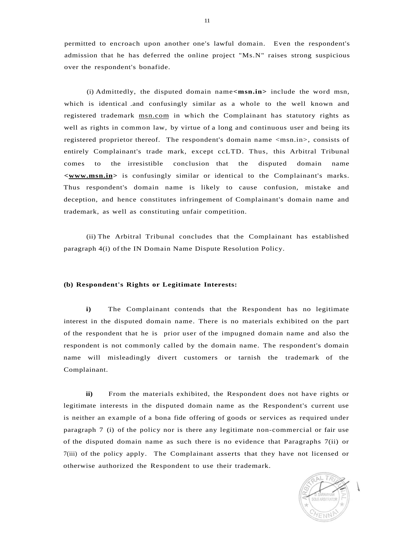permitted to encroach upon another one's lawful domain. Even the respondent's admission that he has deferred the online project "Ms.N" raises strong suspicious over the respondent's bonafide.

(i) Admittedly, the disputed domain name**<msn.in>** include the word msn, which is identical .and confusingly similar as a whole to the well known and registered trademark [msn.com i](http://msn.com)n which the Complainant has statutory rights as well as rights in common law, by virtue of a long and continuous user and being its registered proprietor thereof. The respondent's domain name <msn.in>, consists of entirely Complainant's trade mark, except ccLTD. Thus, this Arbitral Tribunal comes to the irresistible conclusion that the disputed domain name **<[www.msn.in>](http://www.msn.in)** is confusingly similar or identical to the Complainant's marks. Thus respondent's domain name is likely to cause confusion, mistake and deception, and hence constitutes infringement of Complainant's domain name and trademark, as well as constituting unfair competition.

(ii) The Arbitral Tribunal concludes that the Complainant has established paragraph 4(i) of the IN Domain Name Dispute Resolution Policy.

### **(b) Respondent's Rights or Legitimate Interests:**

**i)** The Complainant contends that the Respondent has no legitimate interest in the disputed domain name. There is no materials exhibited on the part of the respondent that he is prior user of the impugned domain name and also the respondent is not commonly called by the domain name. The respondent's domain name will misleadingly divert customers or tarnish the trademark of the Complainant.

**ii)** From the materials exhibited, the Respondent does not have rights or legitimate interests in the disputed domain name as the Respondent's current use is neither an example of a bona fide offering of goods or services as required under paragraph 7 (i) of the policy nor is there any legitimate non-commercial or fair use of the disputed domain name as such there is no evidence that Paragraphs 7(ii) or 7(iii) of the policy apply. The Complainant asserts that they have not licensed or otherwise authorized the Respondent to use their trademark.

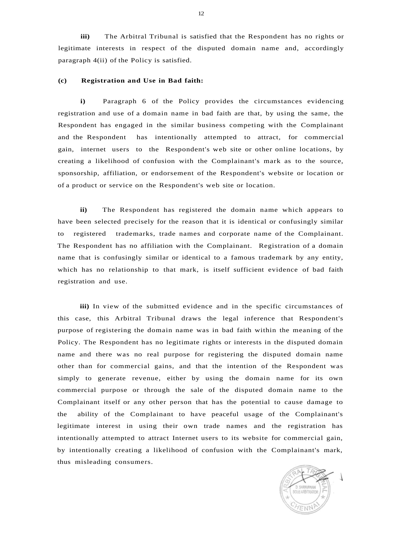**iii)** The Arbitral Tribunal is satisfied that the Respondent has no rights or legitimate interests in respect of the disputed domain name and, accordingly paragraph 4(ii) of the Policy is satisfied.

### **(c) Registration and Use in Bad faith:**

**i)** Paragraph 6 of the Policy provides the circumstances evidencing registration and use of a domain name in bad faith are that, by using the same, the Respondent has engaged in the similar business competing with the Complainant and the Respondent has intentionally attempted to attract, for commercial gain, internet users to the Respondent's web site or other online locations, by creating a likelihood of confusion with the Complainant's mark as to the source, sponsorship, affiliation, or endorsement of the Respondent's website or location or of a product or service on the Respondent's web site or location.

**ii)** The Respondent has registered the domain name which appears to have been selected precisely for the reason that it is identical or confusingly similar to registered trademarks, trade names and corporate name of the Complainant. The Respondent has no affiliation with the Complainant. Registration of a domain name that is confusingly similar or identical to a famous trademark by any entity, which has no relationship to that mark, is itself sufficient evidence of bad faith registration and use.

**iii)** In view of the submitted evidence and in the specific circumstances of this case, this Arbitral Tribunal draws the legal inference that Respondent's purpose of registering the domain name was in bad faith within the meaning of the Policy. The Respondent has no legitimate rights or interests in the disputed domain name and there was no real purpose for registering the disputed domain name other than for commercial gains, and that the intention of the Respondent was simply to generate revenue, either by using the domain name for its own commercial purpose or through the sale of the disputed domain name to the Complainant itself or any other person that has the potential to cause damage to the ability of the Complainant to have peaceful usage of the Complainant's legitimate interest in using their own trade names and the registration has intentionally attempted to attract Internet users to its website for commercial gain, by intentionally creating a likelihood of confusion with the Complainant's mark, thus misleading consumers.